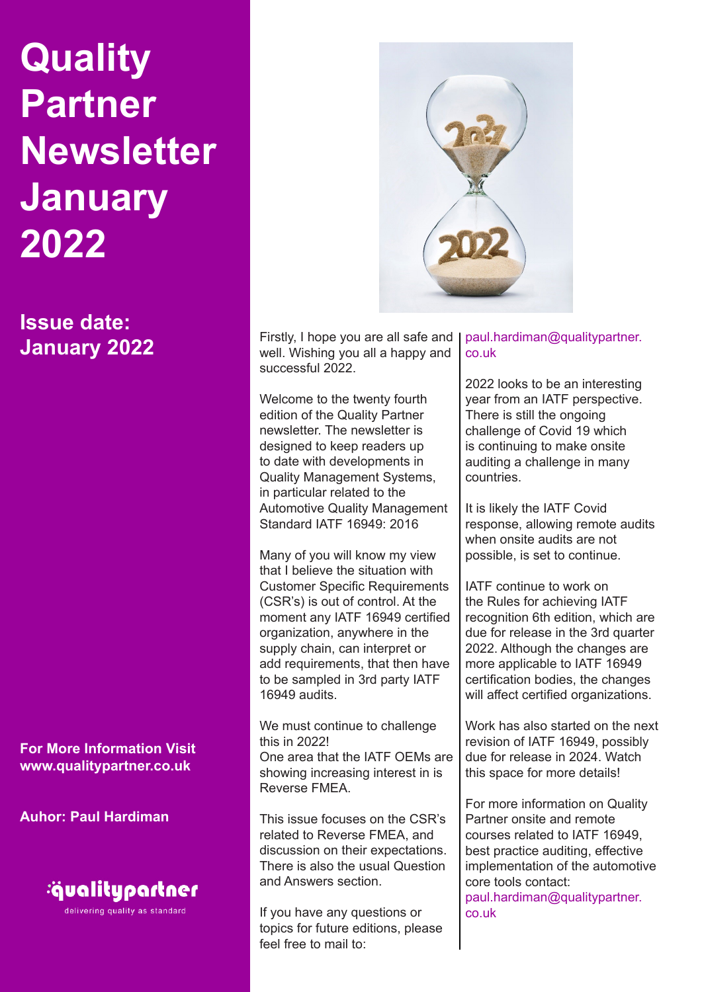**Issue date: January 2022**

**For More Information Visit www.qualitypartner.co.uk**

**Auhor: Paul Hardiman**



delivering quality as standard



Firstly, I hope you are all safe and well. Wishing you all a happy and successful 2022.

Welcome to the twenty fourth edition of the Quality Partner newsletter. The newsletter is designed to keep readers up to date with developments in Quality Management Systems, in particular related to the Automotive Quality Management Standard IATF 16949: 2016

Many of you will know my view that I believe the situation with Customer Specific Requirements (CSR's) is out of control. At the moment any IATF 16949 certified organization, anywhere in the supply chain, can interpret or add requirements, that then have to be sampled in 3rd party IATF 16949 audits.

We must continue to challenge this in 2022! One area that the IATF OEMs are showing increasing interest in is Reverse FMEA.

This issue focuses on the CSR's related to Reverse FMEA, and discussion on their expectations. There is also the usual Question and Answers section.

If you have any questions or topics for future editions, please feel free to mail to:

#### paul.hardiman@qualitypartner. co.uk

2022 looks to be an interesting year from an IATF perspective. There is still the ongoing challenge of Covid 19 which is continuing to make onsite auditing a challenge in many countries.

It is likely the IATF Covid response, allowing remote audits when onsite audits are not possible, is set to continue.

IATF continue to work on the Rules for achieving IATF recognition 6th edition, which are due for release in the 3rd quarter 2022. Although the changes are more applicable to IATF 16949 certification bodies, the changes will affect certified organizations.

Work has also started on the next revision of IATF 16949, possibly due for release in 2024. Watch this space for more details!

For more information on Quality Partner onsite and remote courses related to IATF 16949, best practice auditing, effective implementation of the automotive core tools contact: paul.hardiman@qualitypartner. co.uk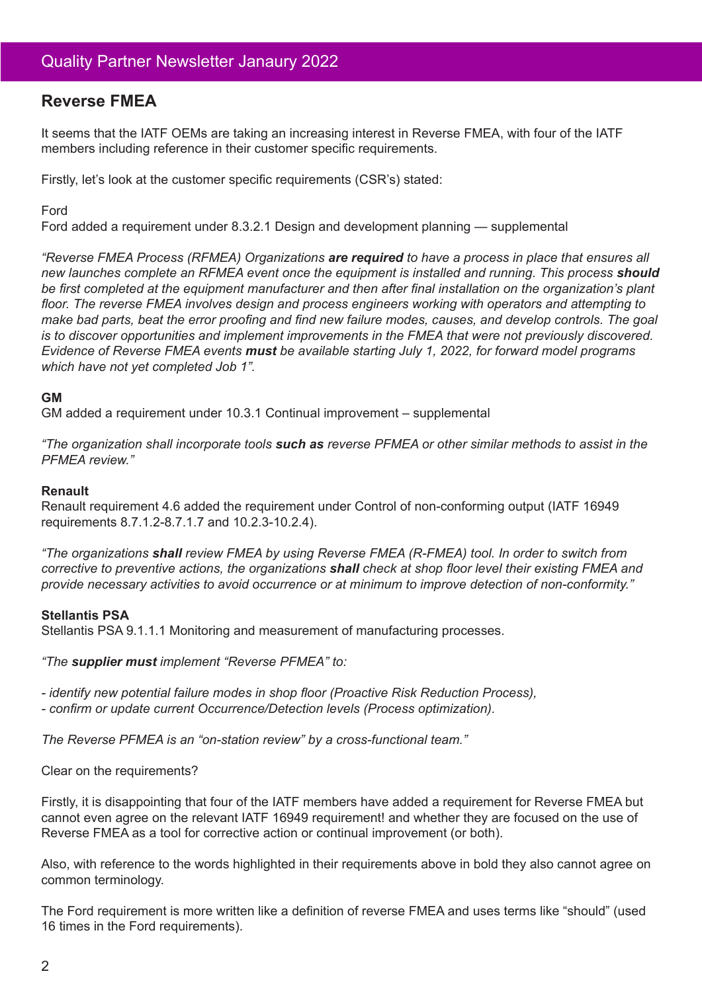## **Reverse FMEA**

It seems that the IATF OEMs are taking an increasing interest in Reverse FMEA, with four of the IATF members including reference in their customer specific requirements.

Firstly, let's look at the customer specific requirements (CSR's) stated:

#### Ford

Ford added a requirement under 8.3.2.1 Design and development planning — supplemental

*"Reverse FMEA Process (RFMEA) Organizations are required to have a process in place that ensures all new launches complete an RFMEA event once the equipment is installed and running. This process should be first completed at the equipment manufacturer and then after final installation on the organization's plant floor. The reverse FMEA involves design and process engineers working with operators and attempting to make bad parts, beat the error proofing and find new failure modes, causes, and develop controls. The goal is to discover opportunities and implement improvements in the FMEA that were not previously discovered. Evidence of Reverse FMEA events must be available starting July 1, 2022, for forward model programs which have not yet completed Job 1".*

#### **GM**

GM added a requirement under 10.3.1 Continual improvement – supplemental

*"The organization shall incorporate tools such as reverse PFMEA or other similar methods to assist in the PFMEA review."*

#### **Renault**

Renault requirement 4.6 added the requirement under Control of non-conforming output (IATF 16949 requirements 8.7.1.2-8.7.1.7 and 10.2.3-10.2.4).

*"The organizations shall review FMEA by using Reverse FMEA (R-FMEA) tool. In order to switch from corrective to preventive actions, the organizations shall check at shop floor level their existing FMEA and provide necessary activities to avoid occurrence or at minimum to improve detection of non-conformity."*

#### **Stellantis PSA**

Stellantis PSA 9.1.1.1 Monitoring and measurement of manufacturing processes.

*"The supplier must implement "Reverse PFMEA" to:*

*- identify new potential failure modes in shop floor (Proactive Risk Reduction Process),*

*- confirm or update current Occurrence/Detection levels (Process optimization).*

*The Reverse PFMEA is an "on-station review" by a cross-functional team."*

Clear on the requirements?

Firstly, it is disappointing that four of the IATF members have added a requirement for Reverse FMEA but cannot even agree on the relevant IATF 16949 requirement! and whether they are focused on the use of Reverse FMEA as a tool for corrective action or continual improvement (or both).

Also, with reference to the words highlighted in their requirements above in bold they also cannot agree on common terminology.

The Ford requirement is more written like a definition of reverse FMEA and uses terms like "should" (used 16 times in the Ford requirements).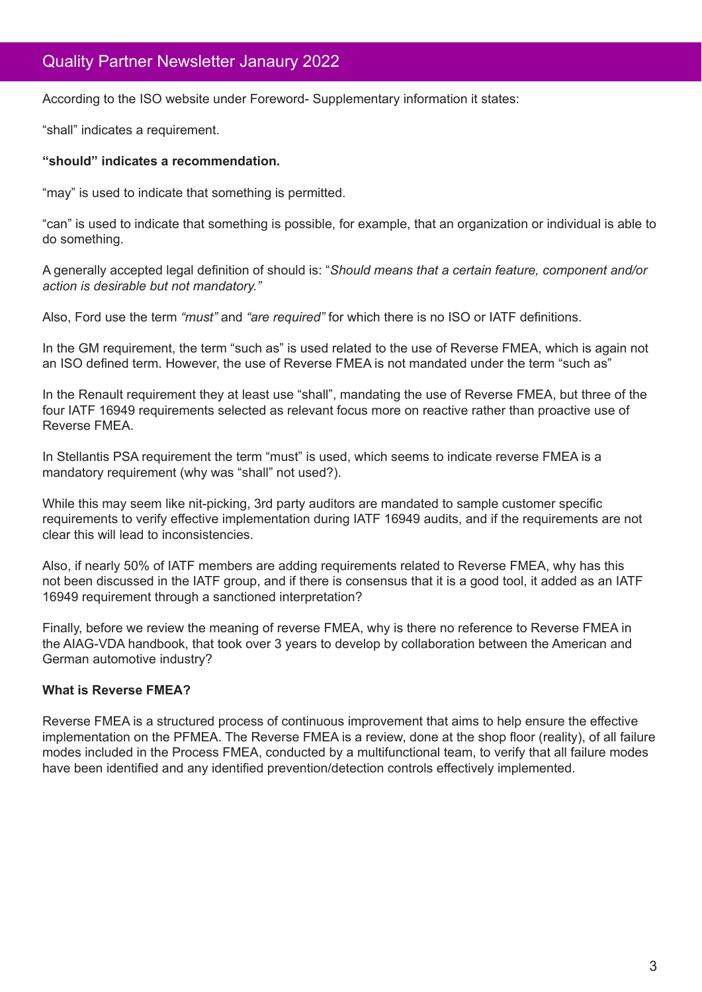According to the ISO website under Foreword- Supplementary information it states:

"shall" indicates a requirement.

#### **"should" indicates a recommendation.**

"may" is used to indicate that something is permitted.

"can" is used to indicate that something is possible, for example, that an organization or individual is able to do something.

A generally accepted legal definition of should is: "*Should means that a certain feature, component and/or action is desirable but not mandatory."*

Also, Ford use the term *"must"* and *"are required"* for which there is no ISO or IATF definitions.

In the GM requirement, the term "such as" is used related to the use of Reverse FMEA, which is again not an ISO defined term. However, the use of Reverse FMEA is not mandated under the term "such as"

In the Renault requirement they at least use "shall", mandating the use of Reverse FMEA, but three of the four IATF 16949 requirements selected as relevant focus more on reactive rather than proactive use of Reverse FMEA.

In Stellantis PSA requirement the term "must" is used, which seems to indicate reverse FMEA is a mandatory requirement (why was "shall" not used?).

While this may seem like nit-picking, 3rd party auditors are mandated to sample customer specific requirements to verify effective implementation during IATF 16949 audits, and if the requirements are not clear this will lead to inconsistencies.

Also, if nearly 50% of IATF members are adding requirements related to Reverse FMEA, why has this not been discussed in the IATF group, and if there is consensus that it is a good tool, it added as an IATF 16949 requirement through a sanctioned interpretation?

Finally, before we review the meaning of reverse FMEA, why is there no reference to Reverse FMEA in the AIAG-VDA handbook, that took over 3 years to develop by collaboration between the American and German automotive industry?

#### **What is Reverse FMEA?**

Reverse FMEA is a structured process of continuous improvement that aims to help ensure the effective implementation on the PFMEA. The Reverse FMEA is a review, done at the shop floor (reality), of all failure modes included in the Process FMEA, conducted by a multifunctional team, to verify that all failure modes have been identified and any identified prevention/detection controls effectively implemented.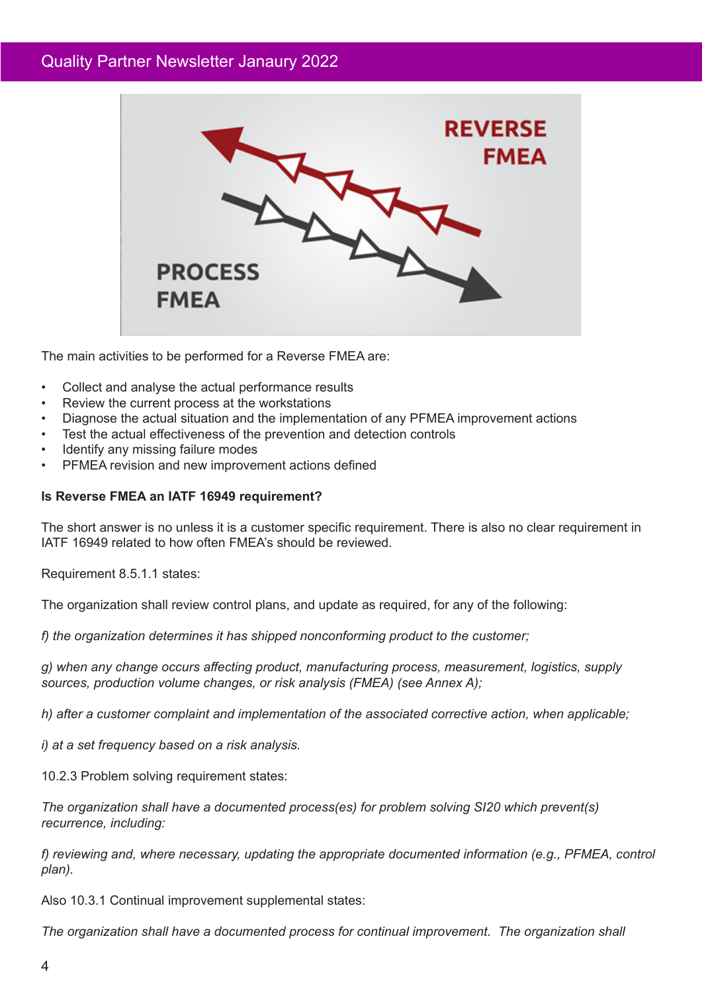

The main activities to be performed for a Reverse FMEA are:

- Collect and analyse the actual performance results
- Review the current process at the workstations
- Diagnose the actual situation and the implementation of any PFMEA improvement actions
- Test the actual effectiveness of the prevention and detection controls
- Identify any missing failure modes
- PFMEA revision and new improvement actions defined

#### **Is Reverse FMEA an IATF 16949 requirement?**

The short answer is no unless it is a customer specific requirement. There is also no clear requirement in IATF 16949 related to how often FMEA's should be reviewed.

Requirement 8.5.1.1 states:

The organization shall review control plans, and update as required, for any of the following:

*f) the organization determines it has shipped nonconforming product to the customer;*

*g) when any change occurs affecting product, manufacturing process, measurement, logistics, supply sources, production volume changes, or risk analysis (FMEA) (see Annex A);*

*h) after a customer complaint and implementation of the associated corrective action, when applicable;*

*i) at a set frequency based on a risk analysis.*

10.2.3 Problem solving requirement states:

*The organization shall have a documented process(es) for problem solving SI20 which prevent(s) recurrence, including:*

*f) reviewing and, where necessary, updating the appropriate documented information (e.g., PFMEA, control plan).*

Also 10.3.1 Continual improvement supplemental states:

*The organization shall have a documented process for continual improvement. The organization shall*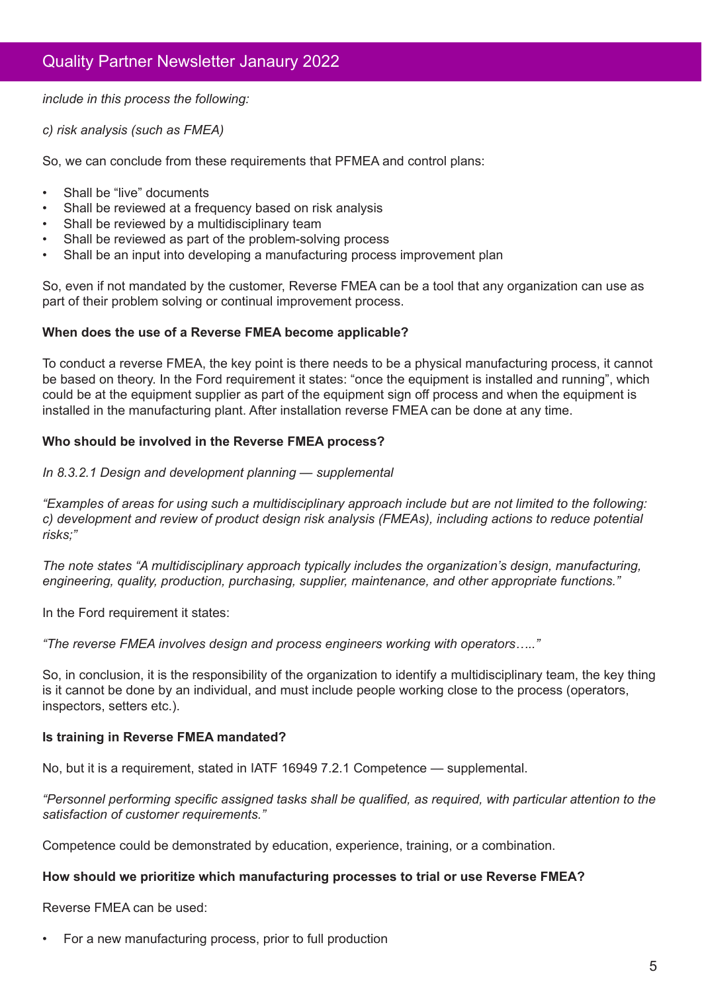*include in this process the following:*

*c) risk analysis (such as FMEA)*

So, we can conclude from these requirements that PFMEA and control plans:

- Shall be "live" documents
- Shall be reviewed at a frequency based on risk analysis
- Shall be reviewed by a multidisciplinary team
- Shall be reviewed as part of the problem-solving process
- Shall be an input into developing a manufacturing process improvement plan

So, even if not mandated by the customer, Reverse FMEA can be a tool that any organization can use as part of their problem solving or continual improvement process.

#### **When does the use of a Reverse FMEA become applicable?**

To conduct a reverse FMEA, the key point is there needs to be a physical manufacturing process, it cannot be based on theory. In the Ford requirement it states: "once the equipment is installed and running", which could be at the equipment supplier as part of the equipment sign off process and when the equipment is installed in the manufacturing plant. After installation reverse FMEA can be done at any time.

#### **Who should be involved in the Reverse FMEA process?**

#### *In 8.3.2.1 Design and development planning — supplemental*

*"Examples of areas for using such a multidisciplinary approach include but are not limited to the following: c) development and review of product design risk analysis (FMEAs), including actions to reduce potential risks;"*

*The note states "A multidisciplinary approach typically includes the organization's design, manufacturing, engineering, quality, production, purchasing, supplier, maintenance, and other appropriate functions."*

In the Ford requirement it states:

*"The reverse FMEA involves design and process engineers working with operators….."*

So, in conclusion, it is the responsibility of the organization to identify a multidisciplinary team, the key thing is it cannot be done by an individual, and must include people working close to the process (operators, inspectors, setters etc.).

#### **Is training in Reverse FMEA mandated?**

No, but it is a requirement, stated in IATF 16949 7.2.1 Competence — supplemental.

*"Personnel performing specific assigned tasks shall be qualified, as required, with particular attention to the satisfaction of customer requirements."*

Competence could be demonstrated by education, experience, training, or a combination.

#### **How should we prioritize which manufacturing processes to trial or use Reverse FMEA?**

Reverse FMEA can be used:

• For a new manufacturing process, prior to full production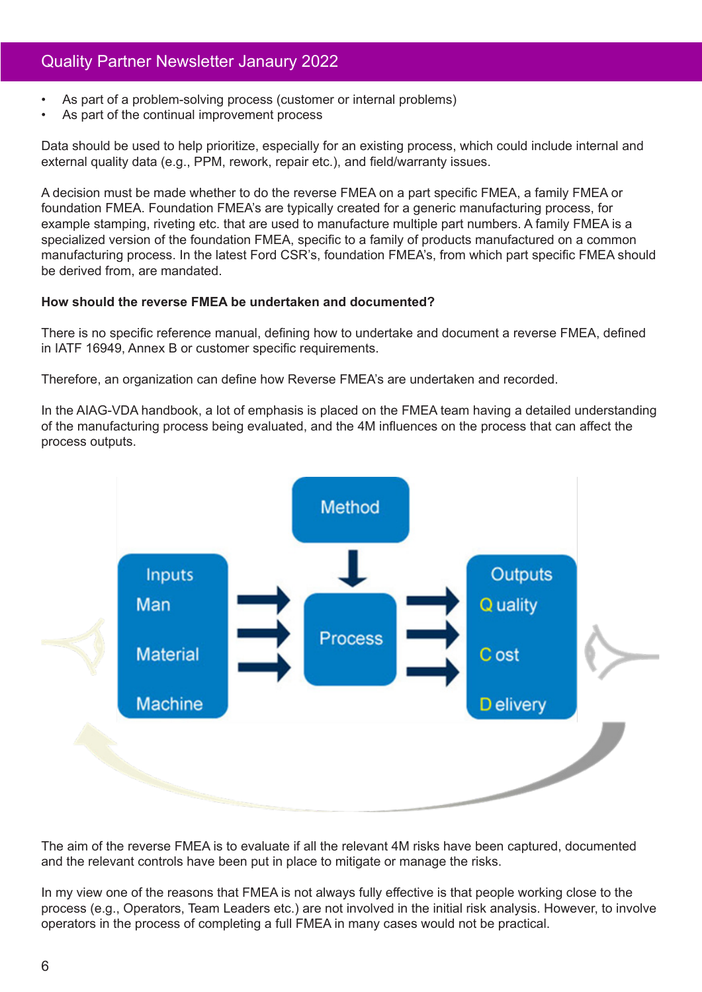- As part of a problem-solving process (customer or internal problems)
- As part of the continual improvement process

Data should be used to help prioritize, especially for an existing process, which could include internal and external quality data (e.g., PPM, rework, repair etc.), and field/warranty issues.

A decision must be made whether to do the reverse FMEA on a part specific FMEA, a family FMEA or foundation FMEA. Foundation FMEA's are typically created for a generic manufacturing process, for example stamping, riveting etc. that are used to manufacture multiple part numbers. A family FMEA is a specialized version of the foundation FMEA, specific to a family of products manufactured on a common manufacturing process. In the latest Ford CSR's, foundation FMEA's, from which part specific FMEA should be derived from, are mandated.

#### **How should the reverse FMEA be undertaken and documented?**

There is no specific reference manual, defining how to undertake and document a reverse FMEA, defined in IATF 16949, Annex B or customer specific requirements.

Therefore, an organization can define how Reverse FMEA's are undertaken and recorded.

In the AIAG-VDA handbook, a lot of emphasis is placed on the FMEA team having a detailed understanding of the manufacturing process being evaluated, and the 4M influences on the process that can affect the process outputs.



The aim of the reverse FMEA is to evaluate if all the relevant 4M risks have been captured, documented and the relevant controls have been put in place to mitigate or manage the risks.

In my view one of the reasons that FMEA is not always fully effective is that people working close to the process (e.g., Operators, Team Leaders etc.) are not involved in the initial risk analysis. However, to involve operators in the process of completing a full FMEA in many cases would not be practical.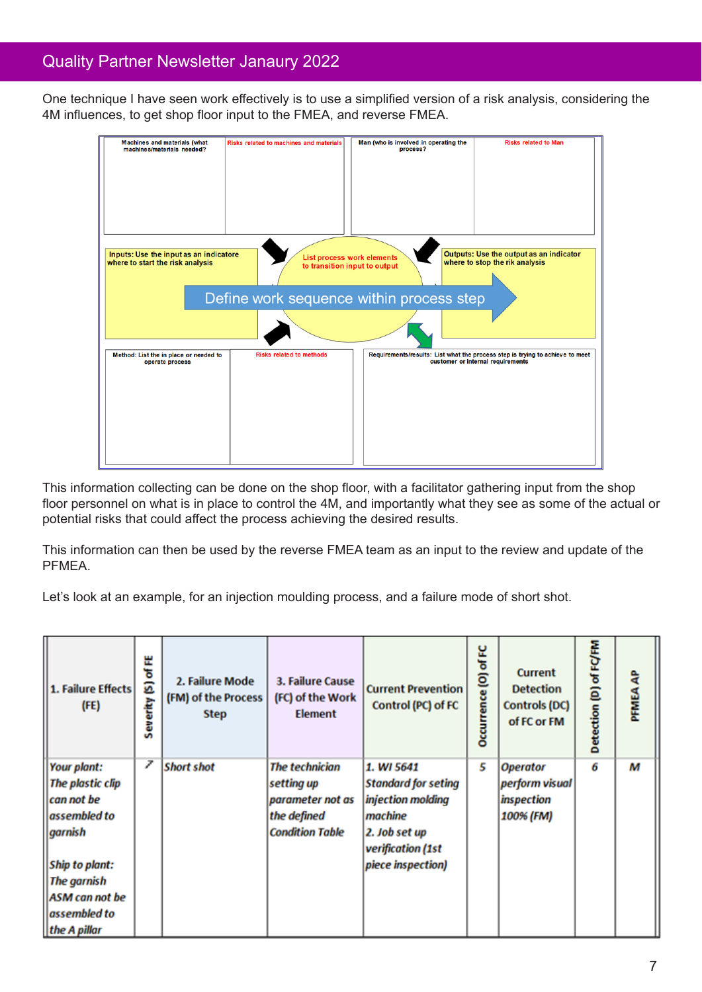One technique I have seen work effectively is to use a simplified version of a risk analysis, considering the 4M influences, to get shop floor input to the FMEA, and reverse FMEA.

| <b>Machines and materials (what</b><br>machines/materials needed?                                                                                                                                                             | Risks related to machines and materials | Man (who is involved in operating the<br>process?                                                                  | <b>Risks related to Man</b> |  |  |  |  |  |  |  |
|-------------------------------------------------------------------------------------------------------------------------------------------------------------------------------------------------------------------------------|-----------------------------------------|--------------------------------------------------------------------------------------------------------------------|-----------------------------|--|--|--|--|--|--|--|
|                                                                                                                                                                                                                               |                                         |                                                                                                                    |                             |  |  |  |  |  |  |  |
|                                                                                                                                                                                                                               |                                         |                                                                                                                    |                             |  |  |  |  |  |  |  |
|                                                                                                                                                                                                                               |                                         |                                                                                                                    |                             |  |  |  |  |  |  |  |
|                                                                                                                                                                                                                               |                                         |                                                                                                                    |                             |  |  |  |  |  |  |  |
| Outputs: Use the output as an indicator<br>Inputs: Use the input as an indicatore<br><b>List process work elements</b><br>where to stop the rik analysis<br>where to start the risk analysis<br>to transition input to output |                                         |                                                                                                                    |                             |  |  |  |  |  |  |  |
| Define work sequence within process step                                                                                                                                                                                      |                                         |                                                                                                                    |                             |  |  |  |  |  |  |  |
|                                                                                                                                                                                                                               |                                         |                                                                                                                    |                             |  |  |  |  |  |  |  |
| Method: List the in place or needed to<br>operate process                                                                                                                                                                     | <b>Risks related to methods</b>         | Requirements/results: List what the process step is trying to achieve to meet<br>customer or internal requirements |                             |  |  |  |  |  |  |  |
|                                                                                                                                                                                                                               |                                         |                                                                                                                    |                             |  |  |  |  |  |  |  |
|                                                                                                                                                                                                                               |                                         |                                                                                                                    |                             |  |  |  |  |  |  |  |
|                                                                                                                                                                                                                               |                                         |                                                                                                                    |                             |  |  |  |  |  |  |  |
|                                                                                                                                                                                                                               |                                         |                                                                                                                    |                             |  |  |  |  |  |  |  |
|                                                                                                                                                                                                                               |                                         |                                                                                                                    |                             |  |  |  |  |  |  |  |

This information collecting can be done on the shop floor, with a facilitator gathering input from the shop floor personnel on what is in place to control the 4M, and importantly what they see as some of the actual or potential risks that could affect the process achieving the desired results.

This information can then be used by the reverse FMEA team as an input to the review and update of the PFMEA.

Let's look at an example, for an injection moulding process, and a failure mode of short shot.

| 1. Failure Effects<br>(FE)                                                                                                                                         | (S) of FE<br>Severity | 2. Failure Mode<br>(FM) of the Process<br><b>Step</b> | 3. Failure Cause<br>(FC) of the Work<br><b>Element</b>                                           | <b>Current Prevention</b><br>Control (PC) of FC                                                                                     | 닢<br>Occurrence (0) of | <b>Current</b><br><b>Detection</b><br><b>Controls (DC)</b><br>of FC or FM | Detection (D) of FC/FM | <b>PFMEA AP</b> |
|--------------------------------------------------------------------------------------------------------------------------------------------------------------------|-----------------------|-------------------------------------------------------|--------------------------------------------------------------------------------------------------|-------------------------------------------------------------------------------------------------------------------------------------|------------------------|---------------------------------------------------------------------------|------------------------|-----------------|
| Your plant:<br>The plastic clip<br>can not be<br>assembled to<br>garnish<br>Ship to plant:<br><b>The garnish</b><br>ASM can not be<br>assembled to<br>the A pillar | 7                     | <b>Short shot</b>                                     | <b>The technician</b><br>setting up<br>parameter not as<br>the defined<br><b>Condition Table</b> | 1. WI 5641<br><b>Standard for seting</b><br>injection molding<br>machine<br>2. Job set up<br>verification (1st<br>piece inspection) | 5                      | <b>Operator</b><br>perform visual<br>inspection<br>100% (FM)              | 6                      | M               |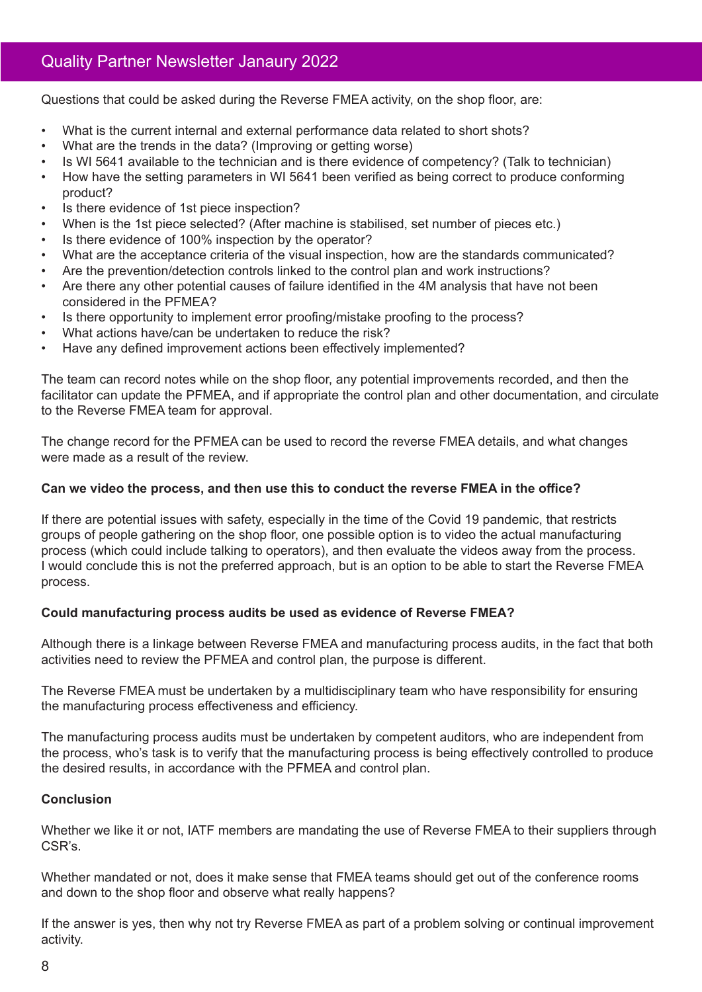Questions that could be asked during the Reverse FMEA activity, on the shop floor, are:

- What is the current internal and external performance data related to short shots?
- What are the trends in the data? (Improving or getting worse)
- Is WI 5641 available to the technician and is there evidence of competency? (Talk to technician)
- How have the setting parameters in WI 5641 been verified as being correct to produce conforming product?
- Is there evidence of 1st piece inspection?
- When is the 1st piece selected? (After machine is stabilised, set number of pieces etc.)
- Is there evidence of 100% inspection by the operator?
- What are the acceptance criteria of the visual inspection, how are the standards communicated?
- Are the prevention/detection controls linked to the control plan and work instructions?
- Are there any other potential causes of failure identified in the 4M analysis that have not been considered in the PFMEA?
- Is there opportunity to implement error proofing/mistake proofing to the process?
- What actions have/can be undertaken to reduce the risk?
- Have any defined improvement actions been effectively implemented?

The team can record notes while on the shop floor, any potential improvements recorded, and then the facilitator can update the PFMEA, and if appropriate the control plan and other documentation, and circulate to the Reverse FMEA team for approval.

The change record for the PFMEA can be used to record the reverse FMEA details, and what changes were made as a result of the review.

#### **Can we video the process, and then use this to conduct the reverse FMEA in the office?**

If there are potential issues with safety, especially in the time of the Covid 19 pandemic, that restricts groups of people gathering on the shop floor, one possible option is to video the actual manufacturing process (which could include talking to operators), and then evaluate the videos away from the process. I would conclude this is not the preferred approach, but is an option to be able to start the Reverse FMEA process.

#### **Could manufacturing process audits be used as evidence of Reverse FMEA?**

Although there is a linkage between Reverse FMEA and manufacturing process audits, in the fact that both activities need to review the PFMEA and control plan, the purpose is different.

The Reverse FMEA must be undertaken by a multidisciplinary team who have responsibility for ensuring the manufacturing process effectiveness and efficiency.

The manufacturing process audits must be undertaken by competent auditors, who are independent from the process, who's task is to verify that the manufacturing process is being effectively controlled to produce the desired results, in accordance with the PFMEA and control plan.

#### **Conclusion**

Whether we like it or not, IATF members are mandating the use of Reverse FMEA to their suppliers through CSR's.

Whether mandated or not, does it make sense that FMEA teams should get out of the conference rooms and down to the shop floor and observe what really happens?

If the answer is yes, then why not try Reverse FMEA as part of a problem solving or continual improvement activity.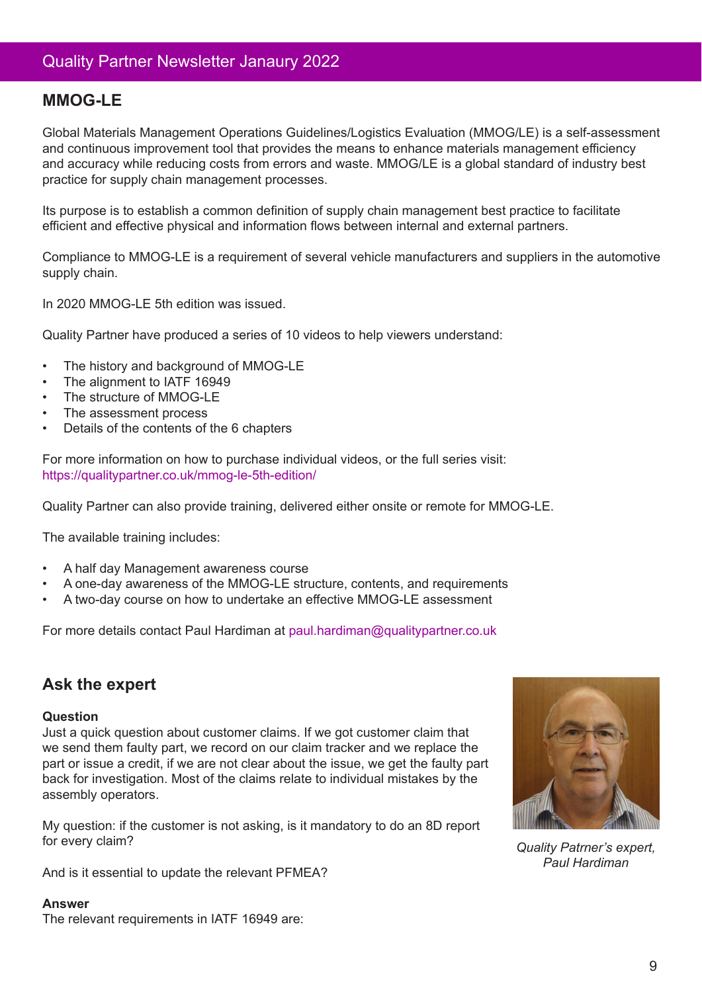## **MMOG-LE**

Global Materials Management Operations Guidelines/Logistics Evaluation (MMOG/LE) is a self-assessment and continuous improvement tool that provides the means to enhance materials management efficiency and accuracy while reducing costs from errors and waste. MMOG/LE is a global standard of industry best practice for supply chain management processes.

Its purpose is to establish a common definition of supply chain management best practice to facilitate efficient and effective physical and information flows between internal and external partners.

Compliance to MMOG-LE is a requirement of several vehicle manufacturers and suppliers in the automotive supply chain.

In 2020 MMOG-LE 5th edition was issued.

Quality Partner have produced a series of 10 videos to help viewers understand:

- The history and background of MMOG-LE
- The alignment to IATF 16949
- The structure of MMOG-LE
- The assessment process
- Details of the contents of the 6 chapters

For more information on how to purchase individual videos, or the full series visit: https://qualitypartner.co.uk/mmog-le-5th-edition/

Quality Partner can also provide training, delivered either onsite or remote for MMOG-LE.

The available training includes:

- A half day Management awareness course
- A one-day awareness of the MMOG-LE structure, contents, and requirements
- A two-day course on how to undertake an effective MMOG-LE assessment

For more details contact Paul Hardiman at paul.hardiman@qualitypartner.co.uk

### **Ask the expert**

#### **Question**

Just a quick question about customer claims. If we got customer claim that we send them faulty part, we record on our claim tracker and we replace the part or issue a credit, if we are not clear about the issue, we get the faulty part back for investigation. Most of the claims relate to individual mistakes by the assembly operators.

My question: if the customer is not asking, is it mandatory to do an 8D report for every claim?

And is it essential to update the relevant PFMEA?

#### **Answer**

The relevant requirements in IATF 16949 are:



*Quality Patrner's expert, Paul Hardiman*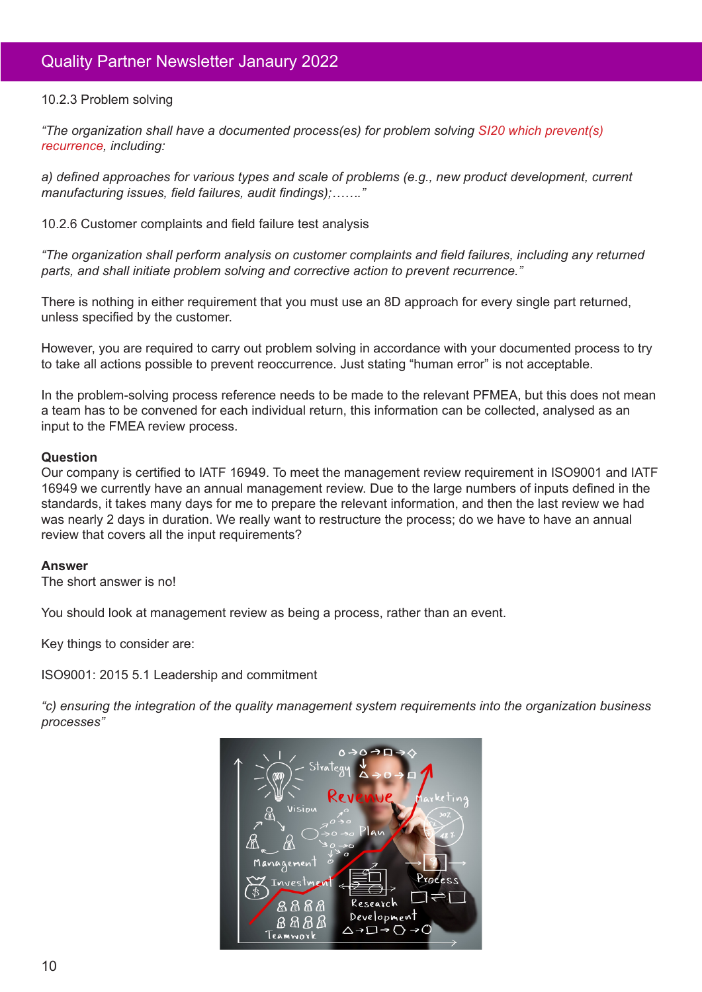#### 10.2.3 Problem solving

*"The organization shall have a documented process(es) for problem solving SI20 which prevent(s) recurrence, including:*

*a) defined approaches for various types and scale of problems (e.g., new product development, current manufacturing issues, field failures, audit findings);……."*

10.2.6 Customer complaints and field failure test analysis

*"The organization shall perform analysis on customer complaints and field failures, including any returned parts, and shall initiate problem solving and corrective action to prevent recurrence."*

There is nothing in either requirement that you must use an 8D approach for every single part returned, unless specified by the customer.

However, you are required to carry out problem solving in accordance with your documented process to try to take all actions possible to prevent reoccurrence. Just stating "human error" is not acceptable.

In the problem-solving process reference needs to be made to the relevant PFMEA, but this does not mean a team has to be convened for each individual return, this information can be collected, analysed as an input to the FMEA review process.

#### **Question**

Our company is certified to IATF 16949. To meet the management review requirement in ISO9001 and IATF 16949 we currently have an annual management review. Due to the large numbers of inputs defined in the standards, it takes many days for me to prepare the relevant information, and then the last review we had was nearly 2 days in duration. We really want to restructure the process; do we have to have an annual review that covers all the input requirements?

#### **Answer**

The short answer is no!

You should look at management review as being a process, rather than an event.

Key things to consider are:

ISO9001: 2015 5.1 Leadership and commitment

*"c) ensuring the integration of the quality management system requirements into the organization business processes"*

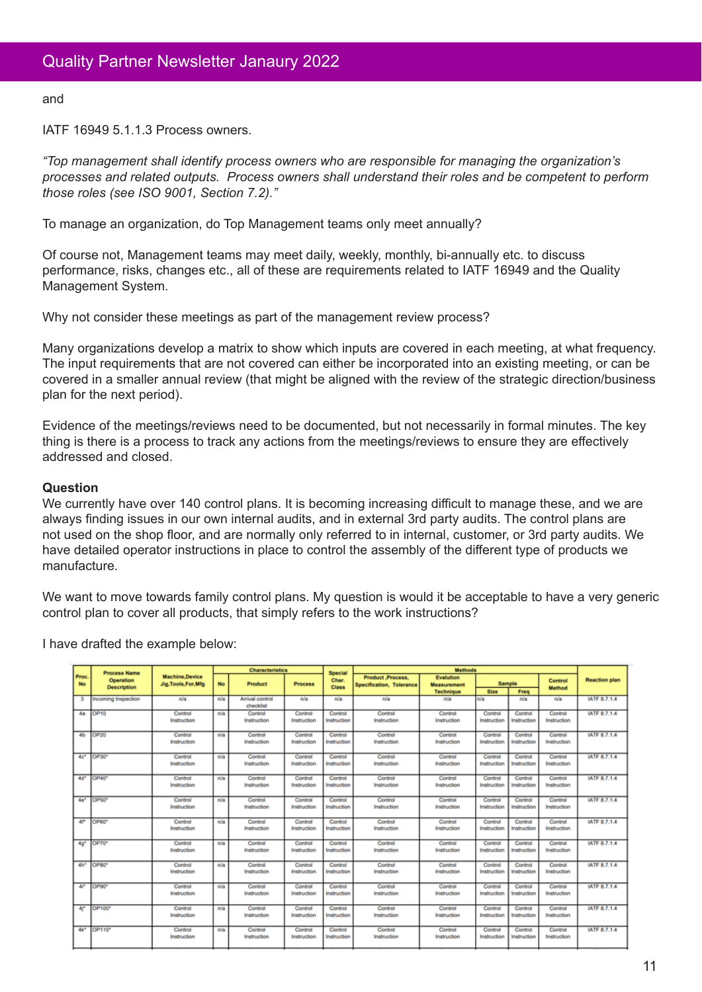and

IATF 16949 5.1.1.3 Process owners.

*"Top management shall identify process owners who are responsible for managing the organization's processes and related outputs. Process owners shall understand their roles and be competent to perform those roles (see ISO 9001, Section 7.2)."*

To manage an organization, do Top Management teams only meet annually?

Of course not, Management teams may meet daily, weekly, monthly, bi-annually etc. to discuss performance, risks, changes etc., all of these are requirements related to IATF 16949 and the Quality Management System.

Why not consider these meetings as part of the management review process?

Many organizations develop a matrix to show which inputs are covered in each meeting, at what frequency. The input requirements that are not covered can either be incorporated into an existing meeting, or can be covered in a smaller annual review (that might be aligned with the review of the strategic direction/business plan for the next period).

Evidence of the meetings/reviews need to be documented, but not necessarily in formal minutes. The key thing is there is a process to track any actions from the meetings/reviews to ensure they are effectively addressed and closed.

#### **Question**

We currently have over 140 control plans. It is becoming increasing difficult to manage these, and we are always finding issues in our own internal audits, and in external 3rd party audits. The control plans are not used on the shop floor, and are normally only referred to in internal, customer, or 3rd party audits. We have detailed operator instructions in place to control the assembly of the different type of products we manufacture.

We want to move towards family control plans. My question is would it be acceptable to have a very generic control plan to cover all products, that simply refers to the work instructions?

I have drafted the example below:

|                    | <b>Process Name</b><br>Operation<br><b>Description</b> | <b>Machine,Device</b><br>Jia Tools For Mfg | <b>Characteristics</b> |                                     |                        |                                         | Methods                                      |                                        |                        |                        |                               |                      |
|--------------------|--------------------------------------------------------|--------------------------------------------|------------------------|-------------------------------------|------------------------|-----------------------------------------|----------------------------------------------|----------------------------------------|------------------------|------------------------|-------------------------------|----------------------|
| Proc.<br><b>No</b> |                                                        |                                            | No                     | Product                             | <b>Process</b>         | <b>Special</b><br>Char.<br><b>Class</b> | Product Process.<br>Specification, Tolerance | <b>Evalution</b><br><b>Measurement</b> | Sample                 |                        | Control<br>Method             | <b>Reaction plan</b> |
|                    |                                                        |                                            |                        |                                     |                        |                                         |                                              | <b>Technique</b>                       | Size                   | Freq                   |                               |                      |
| з                  | Incoming Inspection                                    | eva                                        | n/a                    | <b>Arrival control</b><br>checklist | n/a                    | n/a                                     | nla                                          | nla                                    | eva<br>n/a             |                        | n/a                           | IATF 8.7.1.4         |
| 4a                 | OP10                                                   | Control<br>Instruction                     | n/a                    | Control<br>Instruction              | Control<br>Instruction | Control<br>Instruction                  | Control<br>Instruction                       | Control<br>Instruction                 | Control<br>Instruction | Control<br>Instruction | Control<br>Instruction        | IATF 8.7.1.4         |
| 45                 | OP20                                                   | Control<br>Instruction                     | n/a                    | Control<br>Instruction              | Control<br>Instruction | Control<br>Instruction                  | Control<br>Instruction                       | Control<br>Instruction                 | Control<br>Instruction | Control<br>Instruction | Control<br><b>Instruction</b> | IATF 8.7.1.4         |
| 4 <sup>o</sup>     | OP30*                                                  | Control<br>Instruction                     | n/a                    | Control<br>Instruction              | Control<br>Instruction | Control<br>Instruction                  | Control<br>Instruction                       | Control<br>Instruction                 | Control<br>Instruction | Control<br>Instruction | Control<br>Instruction        | IATF 8.7.1.4         |
| 4d*                | OP40*                                                  | Control<br>Instruction                     | n/a                    | Control<br>Instruction              | Control<br>Instruction | Control<br>Instruction                  | Control<br>Instruction                       | Control<br>Instruction                 | Control<br>Instruction | Control<br>Instruction | Control<br>Instruction        | IATF 8.7.1.4         |
| 4e*                | OP50*                                                  | Control<br>Instruction                     | n/a                    | Control<br>Instruction              | Control<br>Instruction | Control<br>Instruction                  | Control<br>Instruction                       | Control<br>Instruction                 | Control<br>Instruction | Control<br>Instruction | Control<br>Instruction        | <b>IATF 8.7.1.4</b>  |
| 4P                 | OP60*                                                  | Control<br>Instruction                     | n/a                    | Control<br>Instruction              | Control<br>Instruction | Control<br>Instruction                  | Control<br>Instruction                       | Control<br>Instruction                 | Control<br>Instruction | Control<br>Instruction | Control<br>Instruction        | IATF 8.7.1.4         |
| $4a*$              | OP70*                                                  | Control<br>Instruction                     | n/a                    | Control<br>Instruction              | Control<br>Instruction | Control<br>Instruction                  | Control<br>Instruction                       | Control<br>Instruction                 | Control<br>Instruction | Control<br>Instruction | Control<br>Instruction        | IATF 8.7.1.4         |
| 4h <sup>2</sup>    | OP80*                                                  | Control<br>Instruction                     | n/a                    | Control<br>Instruction              | Control<br>Instruction | Control<br>Instruction                  | Control<br>Instruction                       | Control<br>Instruction                 | Control<br>Instruction | Control<br>Instruction | Control<br><b>Instruction</b> | IATF 8.7.1.4         |
| 41*                | OP90*                                                  | Control<br>Instruction                     | n/a                    | Control<br>Instruction              | Control<br>Instruction | Control<br>Instruction                  | Control<br>Instruction                       | Control<br>Instruction                 | Control<br>Instruction | Control<br>Instruction | Control<br>Instruction        | IATF 8.7.1.4         |
| 41*                | <b>OP100*</b>                                          | Control<br>Instruction                     | n/a                    | Control<br>Instruction              | Control<br>Instruction | Control<br>Instruction                  | Control<br>Instruction                       | Control<br>Instruction                 | Control<br>Instruction | Control<br>Instruction | Control<br><b>Instruction</b> | IATF 8.7.1.4         |
| 4k <sup>*</sup>    | OP110*                                                 | Control<br>Instruction                     | n/a                    | Control<br>Instruction              | Control<br>Instruction | Control<br>Instruction                  | Control<br>Instruction                       | Control<br>Instruction                 | Control<br>Instruction | Control<br>Instruction | Control<br>Instruction        | IATF 8.7.1.4         |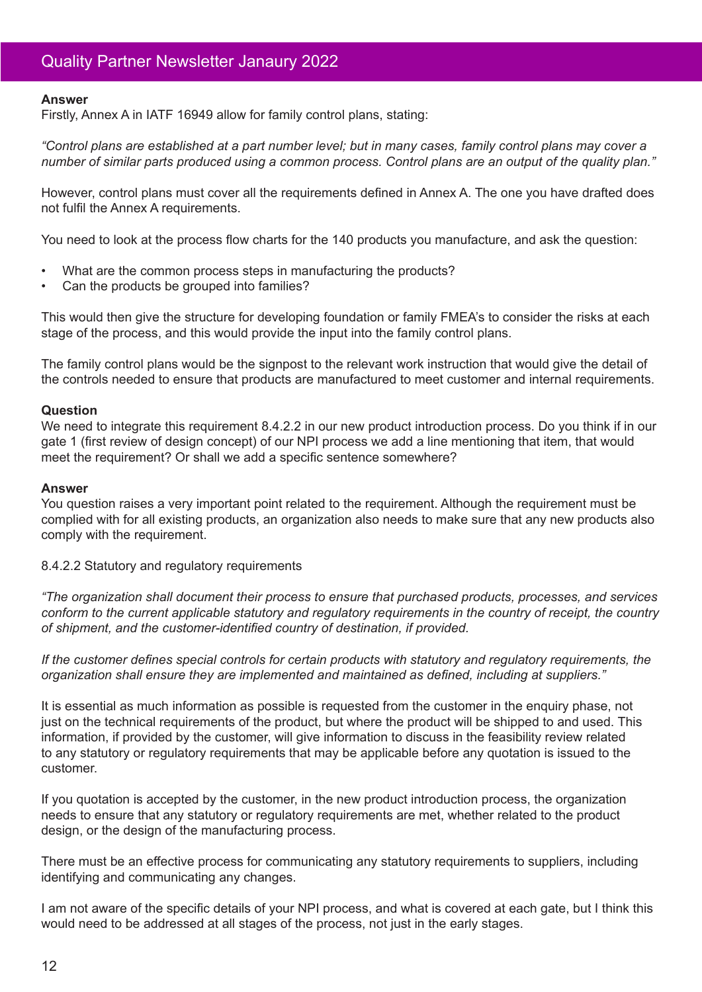#### **Answer**

Firstly, Annex A in IATF 16949 allow for family control plans, stating:

*"Control plans are established at a part number level; but in many cases, family control plans may cover a number of similar parts produced using a common process. Control plans are an output of the quality plan."*

However, control plans must cover all the requirements defined in Annex A. The one you have drafted does not fulfil the Annex A requirements.

You need to look at the process flow charts for the 140 products you manufacture, and ask the question:

- What are the common process steps in manufacturing the products?
- Can the products be grouped into families?

This would then give the structure for developing foundation or family FMEA's to consider the risks at each stage of the process, and this would provide the input into the family control plans.

The family control plans would be the signpost to the relevant work instruction that would give the detail of the controls needed to ensure that products are manufactured to meet customer and internal requirements.

#### **Question**

We need to integrate this requirement 8.4.2.2 in our new product introduction process. Do you think if in our gate 1 (first review of design concept) of our NPI process we add a line mentioning that item, that would meet the requirement? Or shall we add a specific sentence somewhere?

#### **Answer**

You question raises a very important point related to the requirement. Although the requirement must be complied with for all existing products, an organization also needs to make sure that any new products also comply with the requirement.

#### 8.4.2.2 Statutory and regulatory requirements

*"The organization shall document their process to ensure that purchased products, processes, and services conform to the current applicable statutory and regulatory requirements in the country of receipt, the country of shipment, and the customer-identified country of destination, if provided.*

*If the customer defines special controls for certain products with statutory and regulatory requirements, the organization shall ensure they are implemented and maintained as defined, including at suppliers."*

It is essential as much information as possible is requested from the customer in the enquiry phase, not just on the technical requirements of the product, but where the product will be shipped to and used. This information, if provided by the customer, will give information to discuss in the feasibility review related to any statutory or regulatory requirements that may be applicable before any quotation is issued to the customer.

If you quotation is accepted by the customer, in the new product introduction process, the organization needs to ensure that any statutory or regulatory requirements are met, whether related to the product design, or the design of the manufacturing process.

There must be an effective process for communicating any statutory requirements to suppliers, including identifying and communicating any changes.

I am not aware of the specific details of your NPI process, and what is covered at each gate, but I think this would need to be addressed at all stages of the process, not just in the early stages.